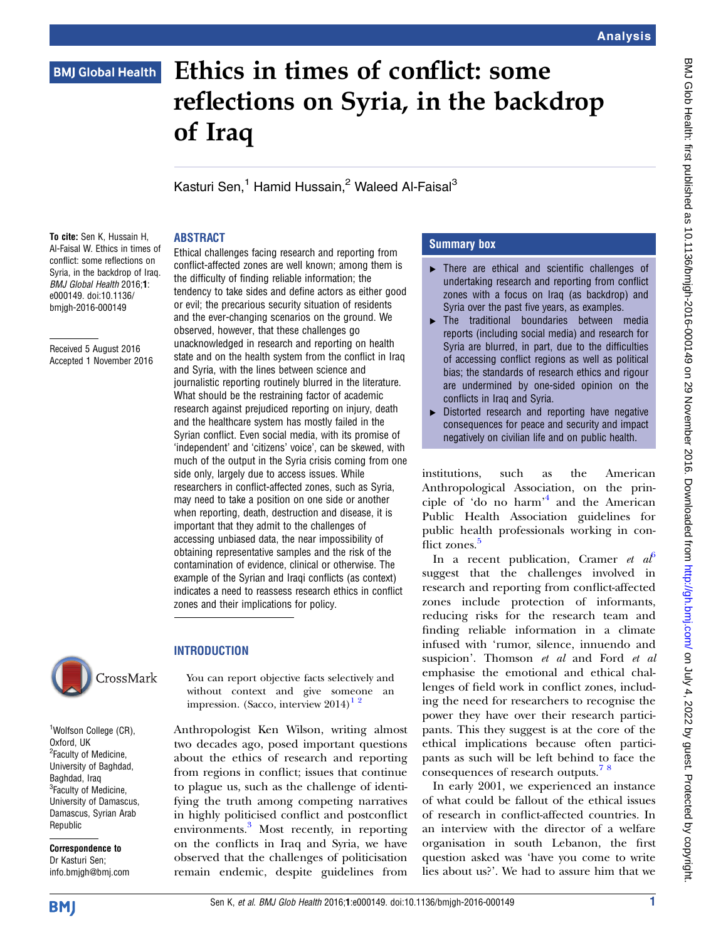# **BMJ Global Health**

# Ethics in times of conflict: some reflections on Syria, in the backdrop of Iraq

Kasturi Sen.<sup>1</sup> Hamid Hussain.<sup>2</sup> Waleed Al-Faisal<sup>3</sup>

### ABSTRACT

To cite: Sen K, Hussain H, Al-Faisal W. Ethics in times of conflict: some reflections on Syria, in the backdrop of Iraq. BMJ Global Health 2016;1: e000149. doi:10.1136/ bmjgh-2016-000149

Received 5 August 2016 Accepted 1 November 2016



<sup>1</sup>Wolfson College (CR), Oxford, UK <sup>2</sup> Faculty of Medicine, University of Baghdad, Baghdad, Iraq <sup>3</sup>Faculty of Medicine, University of Damascus, Damascus, Syrian Arab Republic

Correspondence to Dr Kasturi Sen; info.bmjgh@bmj.com Ethical challenges facing research and reporting from conflict-affected zones are well known; among them is the difficulty of finding reliable information; the tendency to take sides and define actors as either good or evil; the precarious security situation of residents and the ever-changing scenarios on the ground. We observed, however, that these challenges go unacknowledged in research and reporting on health state and on the health system from the conflict in Iraq and Syria, with the lines between science and journalistic reporting routinely blurred in the literature. What should be the restraining factor of academic research against prejudiced reporting on injury, death and the healthcare system has mostly failed in the Syrian conflict. Even social media, with its promise of 'independent' and 'citizens' voice', can be skewed, with much of the output in the Syria crisis coming from one side only, largely due to access issues. While researchers in conflict-affected zones, such as Syria, may need to take a position on one side or another when reporting, death, destruction and disease, it is important that they admit to the challenges of accessing unbiased data, the near impossibility of obtaining representative samples and the risk of the contamination of evidence, clinical or otherwise. The example of the Syrian and Iraqi conflicts (as context) indicates a need to reassess research ethics in conflict zones and their implications for policy.

# **INTRODUCTION**

You can report objective facts selectively and without context and give someone an impression. (Sacco, interview  $2014$ )<sup>1</sup><sup>2</sup>

Anthropologist Ken Wilson, writing almost two decades ago, posed important questions about the ethics of research and reporting from regions in conflict; issues that continue to plague us, such as the challenge of identifying the truth among competing narratives in highly politicised conflict and postconflict environments.<sup>[3](#page-4-0)</sup> Most recently, in reporting on the conflicts in Iraq and Syria, we have observed that the challenges of politicisation remain endemic, despite guidelines from

#### Summary box

- ▸ There are ethical and scientific challenges of undertaking research and reporting from conflict zones with a focus on Iraq (as backdrop) and Syria over the past five years, as examples.
- ▸ The traditional boundaries between media reports (including social media) and research for Syria are blurred, in part, due to the difficulties of accessing conflict regions as well as political bias; the standards of research ethics and rigour are undermined by one-sided opinion on the conflicts in Iraq and Syria.
- ▸ Distorted research and reporting have negative consequences for peace and security and impact negatively on civilian life and on public health.

institutions, such as the American Anthropological Association, on the principle of 'do no harm' [4](#page-4-0) and the American Public Health Association guidelines for public health professionals working in con-flict zones.<sup>[5](#page-4-0)</sup>

In a recent publication, Cramer et  $a\hat{b}$ suggest that the challenges involved in research and reporting from conflict-affected zones include protection of informants, reducing risks for the research team and finding reliable information in a climate infused with 'rumor, silence, innuendo and suspicion'. Thomson et al and Ford et al emphasise the emotional and ethical challenges of field work in conflict zones, including the need for researchers to recognise the power they have over their research participants. This they suggest is at the core of the ethical implications because often participants as such will be left behind to face the consequences of research outputs.[7 8](#page-4-0)

In early 2001, we experienced an instance of what could be fallout of the ethical issues of research in conflict-affected countries. In an interview with the director of a welfare organisation in south Lebanon, the first question asked was 'have you come to write lies about us?'. We had to assure him that we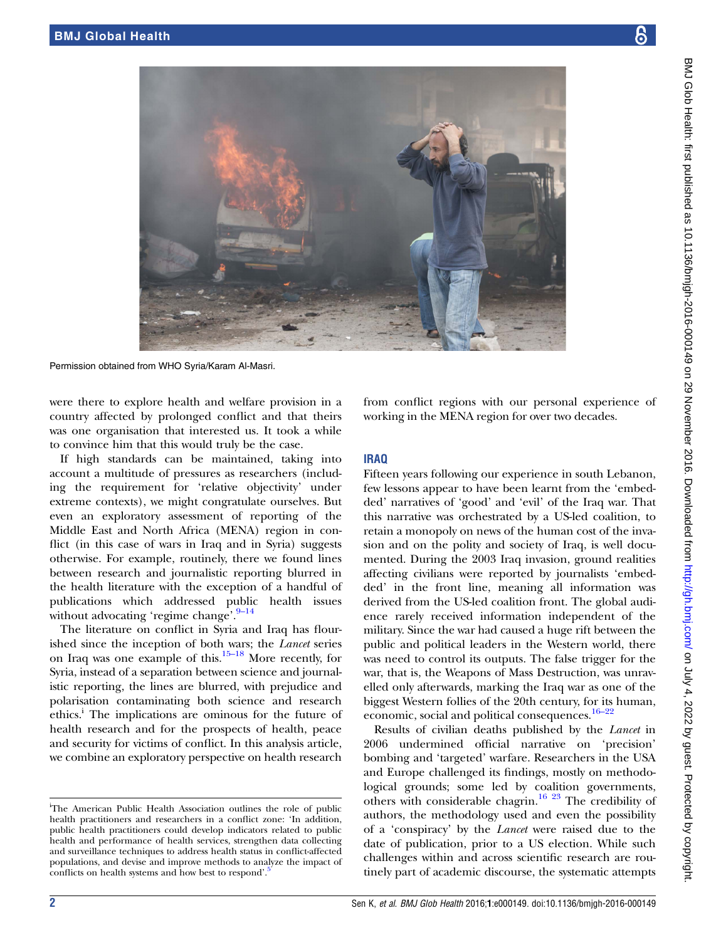

Permission obtained from WHO Syria/Karam Al-Masri.

were there to explore health and welfare provision in a country affected by prolonged conflict and that theirs was one organisation that interested us. It took a while to convince him that this would truly be the case.

If high standards can be maintained, taking into account a multitude of pressures as researchers (including the requirement for 'relative objectivity' under extreme contexts), we might congratulate ourselves. But even an exploratory assessment of reporting of the Middle East and North Africa (MENA) region in conflict (in this case of wars in Iraq and in Syria) suggests otherwise. For example, routinely, there we found lines between research and journalistic reporting blurred in the health literature with the exception of a handful of publications which addressed public health issues without advocating 'regime change'.<sup>9-[14](#page-4-0)</sup>

The literature on conflict in Syria and Iraq has flourished since the inception of both wars; the Lancet series on Iraq was one example of this[.15](#page-4-0)–<sup>18</sup> More recently, for Syria, instead of a separation between science and journalistic reporting, the lines are blurred, with prejudice and polarisation contaminating both science and research ethics.<sup>1</sup> The implications are ominous for the future of health research and for the prospects of health, peace and security for victims of conflict. In this analysis article, we combine an exploratory perspective on health research

from conflict regions with our personal experience of working in the MENA region for over two decades.

#### IRAQ

Fifteen years following our experience in south Lebanon, few lessons appear to have been learnt from the 'embedded' narratives of 'good' and 'evil' of the Iraq war. That this narrative was orchestrated by a US-led coalition, to retain a monopoly on news of the human cost of the invasion and on the polity and society of Iraq, is well documented. During the 2003 Iraq invasion, ground realities affecting civilians were reported by journalists 'embedded' in the front line, meaning all information was derived from the US-led coalition front. The global audience rarely received information independent of the military. Since the war had caused a huge rift between the public and political leaders in the Western world, there was need to control its outputs. The false trigger for the war, that is, the Weapons of Mass Destruction, was unravelled only afterwards, marking the Iraq war as one of the biggest Western follies of the 20th century, for its human, economic, social and political consequences.<sup>16–22</sup>

Results of civilian deaths published by the Lancet in 2006 undermined official narrative on 'precision' bombing and 'targeted' warfare. Researchers in the USA and Europe challenged its findings, mostly on methodological grounds; some led by coalition governments, others with considerable chagrin.[16 23](#page-4-0) The credibility of authors, the methodology used and even the possibility of a 'conspiracy' by the Lancet were raised due to the date of publication, prior to a US election. While such challenges within and across scientific research are routinely part of academic discourse, the systematic attempts

<sup>&</sup>lt;sup>i</sup>The American Public Health Association outlines the role of public health practitioners and researchers in a conflict zone: 'In addition, public health practitioners could develop indicators related to public health and performance of health services, strengthen data collecting and surveillance techniques to address health status in conflict-affected populations, and devise and improve methods to analyze the impact of conflicts on health systems and how best to respond'.<sup>[5](#page-4-0)</sup>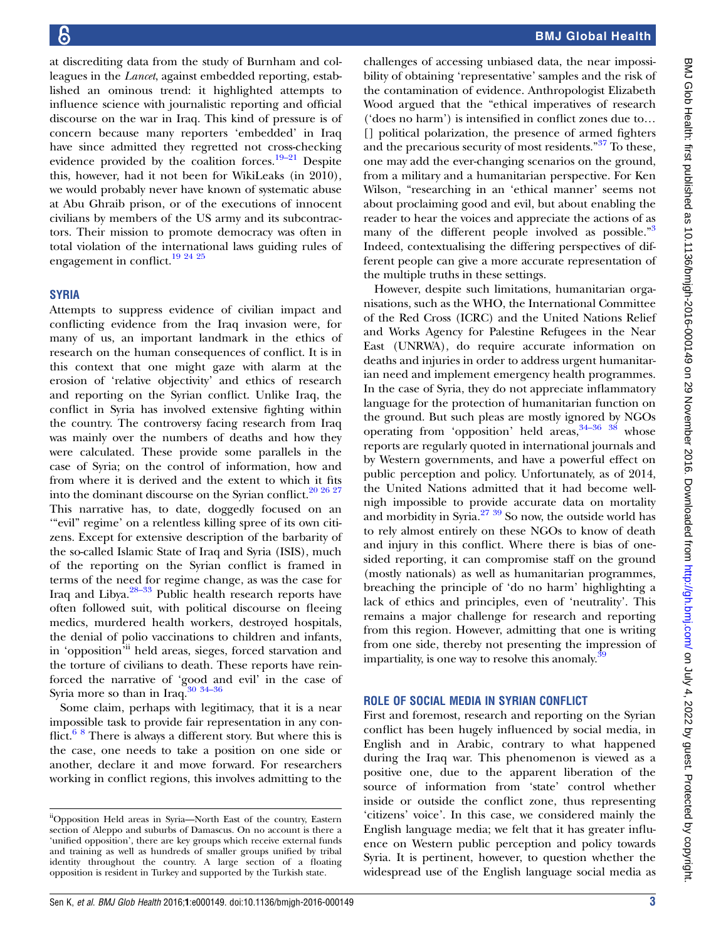at discrediting data from the study of Burnham and colleagues in the Lancet, against embedded reporting, established an ominous trend: it highlighted attempts to influence science with journalistic reporting and official discourse on the war in Iraq. This kind of pressure is of concern because many reporters 'embedded' in Iraq have since admitted they regretted not cross-checking evidence provided by the coalition forces.<sup>19–[21](#page-4-0)</sup> Despite this, however, had it not been for WikiLeaks (in 2010), we would probably never have known of systematic abuse at Abu Ghraib prison, or of the executions of innocent civilians by members of the US army and its subcontractors. Their mission to promote democracy was often in total violation of the international laws guiding rules of engagement in conflict.<sup>19</sup> <sup>24</sup> <sup>25</sup>

#### **SYRIA**

Attempts to suppress evidence of civilian impact and conflicting evidence from the Iraq invasion were, for many of us, an important landmark in the ethics of research on the human consequences of conflict. It is in this context that one might gaze with alarm at the erosion of 'relative objectivity' and ethics of research and reporting on the Syrian conflict. Unlike Iraq, the conflict in Syria has involved extensive fighting within the country. The controversy facing research from Iraq was mainly over the numbers of deaths and how they were calculated. These provide some parallels in the case of Syria; on the control of information, how and from where it is derived and the extent to which it fits into the dominant discourse on the Syrian conflict.<sup>20</sup> <sup>26</sup> <sup>27</sup> This narrative has, to date, doggedly focused on an '"evil" regime' on a relentless killing spree of its own citizens. Except for extensive description of the barbarity of the so-called Islamic State of Iraq and Syria (ISIS), much of the reporting on the Syrian conflict is framed in terms of the need for regime change, as was the case for Iraq and Libya.[28](#page-4-0)–<sup>33</sup> Public health research reports have often followed suit, with political discourse on fleeing medics, murdered health workers, destroyed hospitals, the denial of polio vaccinations to children and infants, in 'opposition<sup>5ii</sup> held areas, sieges, forced starvation and the torture of civilians to death. These reports have reinforced the narrative of 'good and evil' in the case of Syria more so than in Iraq[.30](#page-4-0) 34–[36](#page-4-0)

Some claim, perhaps with legitimacy, that it is a near impossible task to provide fair representation in any con-flict.<sup>[6 8](#page-4-0)</sup> There is always a different story. But where this is the case, one needs to take a position on one side or another, declare it and move forward. For researchers working in conflict regions, this involves admitting to the

challenges of accessing unbiased data, the near impossibility of obtaining 'representative' samples and the risk of the contamination of evidence. Anthropologist Elizabeth Wood argued that the "ethical imperatives of research ('does no harm') is intensified in conflict zones due to… [] political polarization, the presence of armed fighters and the precarious security of most residents."<sup>[37](#page-5-0)</sup> To these, one may add the ever-changing scenarios on the ground, from a military and a humanitarian perspective. For Ken Wilson, "researching in an 'ethical manner' seems not about proclaiming good and evil, but about enabling the reader to hear the voices and appreciate the actions of as many of the different people involved as possible."[3](#page-4-0) Indeed, contextualising the differing perspectives of different people can give a more accurate representation of the multiple truths in these settings.

However, despite such limitations, humanitarian organisations, such as the WHO, the International Committee of the Red Cross (ICRC) and the United Nations Relief and Works Agency for Palestine Refugees in the Near East (UNRWA), do require accurate information on deaths and injuries in order to address urgent humanitarian need and implement emergency health programmes. In the case of Syria, they do not appreciate inflammatory language for the protection of humanitarian function on the ground. But such pleas are mostly ignored by NGOs operating from 'opposition' held areas,  $34-36$  $34-36$  [38](#page-5-0) whose reports are regularly quoted in international journals and by Western governments, and have a powerful effect on public perception and policy. Unfortunately, as of 2014, the United Nations admitted that it had become wellnigh impossible to provide accurate data on mortality and morbidity in Syria.[27](#page-4-0) [39](#page-5-0) So now, the outside world has to rely almost entirely on these NGOs to know of death and injury in this conflict. Where there is bias of onesided reporting, it can compromise staff on the ground (mostly nationals) as well as humanitarian programmes, breaching the principle of 'do no harm' highlighting a lack of ethics and principles, even of 'neutrality'. This remains a major challenge for research and reporting from this region. However, admitting that one is writing from one side, thereby not presenting the impression of impartiality, is one way to resolve this anomaly.<sup>3</sup>

#### ROLE OF SOCIAL MEDIA IN SYRIAN CONFLICT

First and foremost, research and reporting on the Syrian conflict has been hugely influenced by social media, in English and in Arabic, contrary to what happened during the Iraq war. This phenomenon is viewed as a positive one, due to the apparent liberation of the source of information from 'state' control whether inside or outside the conflict zone, thus representing 'citizens' voice'. In this case, we considered mainly the English language media; we felt that it has greater influence on Western public perception and policy towards Syria. It is pertinent, however, to question whether the widespread use of the English language social media as

iiOpposition Held areas in Syria—North East of the country, Eastern section of Aleppo and suburbs of Damascus. On no account is there a 'unified opposition', there are key groups which receive external funds and training as well as hundreds of smaller groups unified by tribal identity throughout the country. A large section of a floating opposition is resident in Turkey and supported by the Turkish state.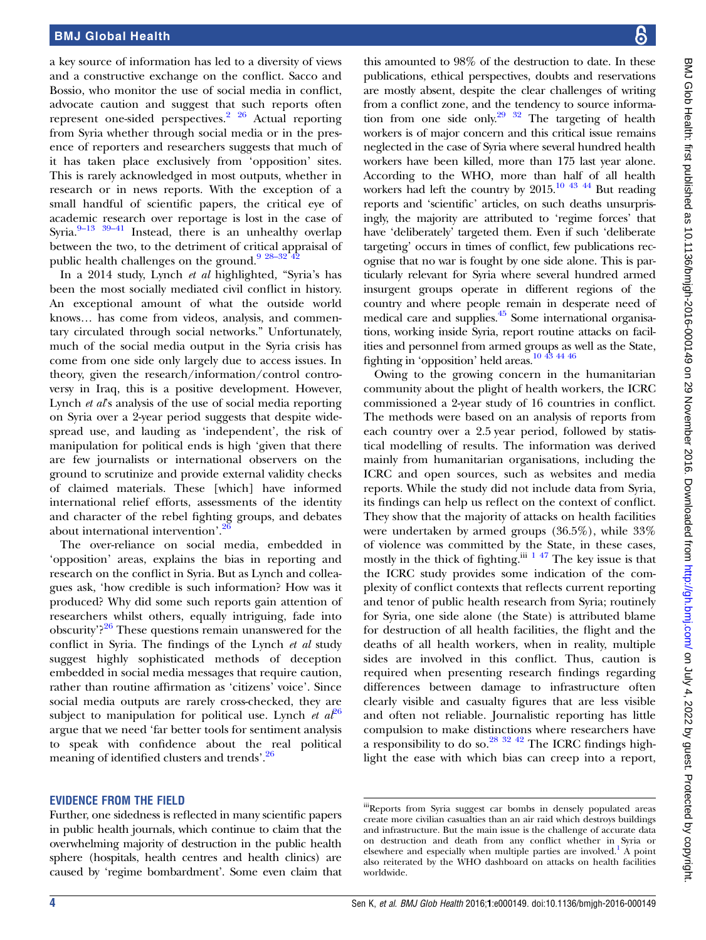a key source of information has led to a diversity of views and a constructive exchange on the conflict. Sacco and Bossio, who monitor the use of social media in conflict, advocate caution and suggest that such reports often represent one-sided perspectives.[2 26](#page-4-0) Actual reporting from Syria whether through social media or in the presence of reporters and researchers suggests that much of it has taken place exclusively from 'opposition' sites. This is rarely acknowledged in most outputs, whether in research or in news reports. With the exception of a small handful of scientific papers, the critical eye of academic research over reportage is lost in the case of Syria. $\frac{9-13}{39-41}$  $\frac{9-13}{39-41}$  $\frac{9-13}{39-41}$  Instead, there is an unhealthy overlap between the two, to the detriment of critical appraisal of public health challenges on the ground.<sup>9</sup>  $28-32$ <sup>7</sup>

In a 2014 study, Lynch et al highlighted, "Syria's has been the most socially mediated civil conflict in history. An exceptional amount of what the outside world knows… has come from videos, analysis, and commentary circulated through social networks." Unfortunately, much of the social media output in the Syria crisis has come from one side only largely due to access issues. In theory, given the research/information/control controversy in Iraq, this is a positive development. However, Lynch et al's analysis of the use of social media reporting on Syria over a 2-year period suggests that despite widespread use, and lauding as 'independent', the risk of manipulation for political ends is high 'given that there are few journalists or international observers on the ground to scrutinize and provide external validity checks of claimed materials. These [which] have informed international relief efforts, assessments of the identity and character of the rebel fighting groups, and debates about international intervention'.<sup>[26](#page-4-0)</sup>

The over-reliance on social media, embedded in 'opposition' areas, explains the bias in reporting and research on the conflict in Syria. But as Lynch and colleagues ask, 'how credible is such information? How was it produced? Why did some such reports gain attention of researchers whilst others, equally intriguing, fade into obscurity'?<sup>[26](#page-4-0)</sup> These questions remain unanswered for the conflict in Syria. The findings of the Lynch et al study suggest highly sophisticated methods of deception embedded in social media messages that require caution, rather than routine affirmation as 'citizens' voice'. Since social media outputs are rarely cross-checked, they are subject to manipulation for political use. Lynch et  $a\ell^{26}$  $a\ell^{26}$  $a\ell^{26}$ argue that we need 'far better tools for sentiment analysis to speak with confidence about the real political meaning of identified clusters and trends'.<sup>[26](#page-4-0)</sup>

#### EVIDENCE FROM THE FIELD

Further, one sidedness is reflected in many scientific papers in public health journals, which continue to claim that the overwhelming majority of destruction in the public health sphere (hospitals, health centres and health clinics) are caused by 'regime bombardment'. Some even claim that

this amounted to 98% of the destruction to date. In these publications, ethical perspectives, doubts and reservations are mostly absent, despite the clear challenges of writing from a conflict zone, and the tendency to source information from one side only.<sup>29</sup>  $32$  The targeting of health workers is of major concern and this critical issue remains neglected in the case of Syria where several hundred health workers have been killed, more than 175 last year alone. According to the WHO, more than half of all health workers had left the country by  $2015$ .<sup>10 [43 44](#page-5-0)</sup> But reading reports and 'scientific' articles, on such deaths unsurprisingly, the majority are attributed to 'regime forces' that have 'deliberately' targeted them. Even if such 'deliberate targeting' occurs in times of conflict, few publications recognise that no war is fought by one side alone. This is particularly relevant for Syria where several hundred armed insurgent groups operate in different regions of the country and where people remain in desperate need of medical care and supplies.<sup>45</sup> Some international organisations, working inside Syria, report routine attacks on facilities and personnel from armed groups as well as the State, fighting in 'opposition' held areas.[10](#page-4-0) [43 44 46](#page-5-0)

Owing to the growing concern in the humanitarian community about the plight of health workers, the ICRC commissioned a 2-year study of 16 countries in conflict. The methods were based on an analysis of reports from each country over a 2.5 year period, followed by statistical modelling of results. The information was derived mainly from humanitarian organisations, including the ICRC and open sources, such as websites and media reports. While the study did not include data from Syria, its findings can help us reflect on the context of conflict. They show that the majority of attacks on health facilities were undertaken by armed groups (36.5%), while 33% of violence was committed by the State, in these cases, mostly in the thick of fighting. $\lim_{n \to \infty} \frac{1}{n}$  $\lim_{n \to \infty} \frac{1}{n}$  $\lim_{n \to \infty} \frac{1}{n}$  The key issue is that the ICRC study provides some indication of the complexity of conflict contexts that reflects current reporting and tenor of public health research from Syria; routinely for Syria, one side alone (the State) is attributed blame for destruction of all health facilities, the flight and the deaths of all health workers, when in reality, multiple sides are involved in this conflict. Thus, caution is required when presenting research findings regarding differences between damage to infrastructure often clearly visible and casualty figures that are less visible and often not reliable. Journalistic reporting has little compulsion to make distinctions where researchers have a responsibility to do so.[28 32](#page-4-0) [42](#page-5-0) The ICRC findings highlight the ease with which bias can creep into a report,

iiiReports from Syria suggest car bombs in densely populated areas create more civilian casualties than an air raid which destroys buildings and infrastructure. But the main issue is the challenge of accurate data on destruction and death from any conflict whether in Syria or elsewhere and especially when multiple parties are involved.<sup>1</sup> A point also reiterated by the WHO dashboard on attacks on health facilities worldwide.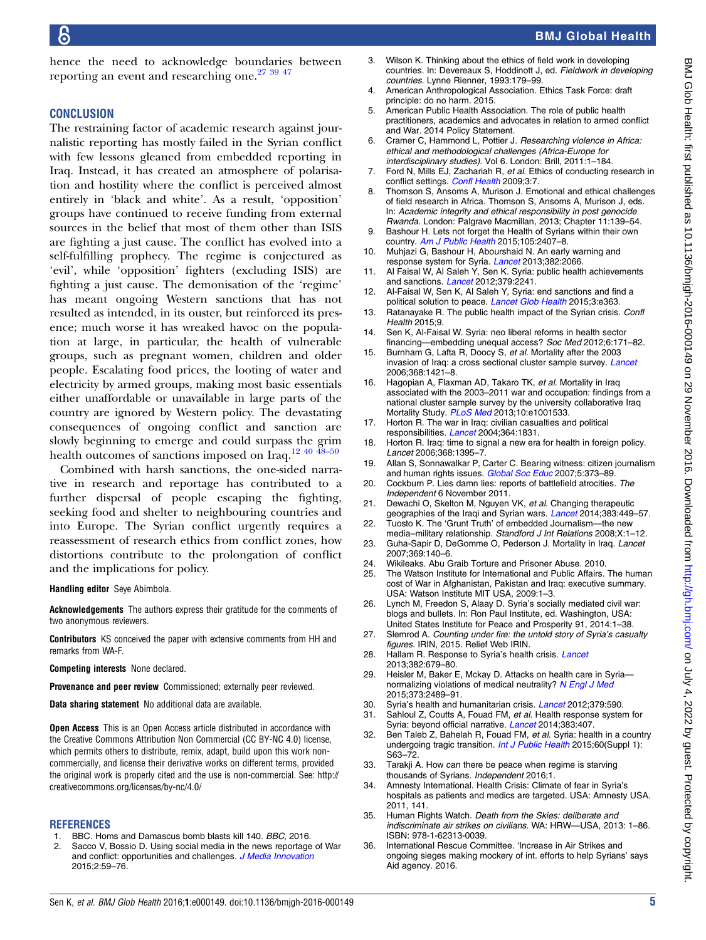BMJ Global Health

<span id="page-4-0"></span>hence the need to acknowledge boundaries between reporting an event and researching one.<sup>27</sup> <sup>39</sup> <sup>47</sup>

#### **CONCLUSION**

The restraining factor of academic research against journalistic reporting has mostly failed in the Syrian conflict with few lessons gleaned from embedded reporting in Iraq. Instead, it has created an atmosphere of polarisation and hostility where the conflict is perceived almost entirely in 'black and white'. As a result, 'opposition' groups have continued to receive funding from external sources in the belief that most of them other than ISIS are fighting a just cause. The conflict has evolved into a self-fulfilling prophecy. The regime is conjectured as 'evil', while 'opposition' fighters (excluding ISIS) are fighting a just cause. The demonisation of the 'regime' has meant ongoing Western sanctions that has not resulted as intended, in its ouster, but reinforced its presence; much worse it has wreaked havoc on the population at large, in particular, the health of vulnerable groups, such as pregnant women, children and older people. Escalating food prices, the looting of water and electricity by armed groups, making most basic essentials either unaffordable or unavailable in large parts of the country are ignored by Western policy. The devastating consequences of ongoing conflict and sanction are slowly beginning to emerge and could surpass the grim health outcomes of sanctions imposed on Iraq.<sup>12 40</sup> <sup>48</sup>-50

Combined with harsh sanctions, the one-sided narrative in research and reportage has contributed to a further dispersal of people escaping the fighting, seeking food and shelter to neighbouring countries and into Europe. The Syrian conflict urgently requires a reassessment of research ethics from conflict zones, how distortions contribute to the prolongation of conflict and the implications for policy.

Handling editor Seye Abimbola.

**Acknowledgements** The authors express their gratitude for the comments of two anonymous reviewers.

Contributors KS conceived the paper with extensive comments from HH and remarks from WA-F.

Competing interests None declared.

Provenance and peer review Commissioned; externally peer reviewed.

Data sharing statement No additional data are available.

**Open Access** This is an Open Access article distributed in accordance with the Creative Commons Attribution Non Commercial (CC BY-NC 4.0) license, which permits others to distribute, remix, adapt, build upon this work noncommercially, and license their derivative works on different terms, provided the original work is properly cited and the use is non-commercial. See: [http://](http://creativecommons.org/licenses/by-nc/4.0/) [creativecommons.org/licenses/by-nc/4.0/](http://creativecommons.org/licenses/by-nc/4.0/)

#### **REFERENCES**

- 1. BBC. Homs and Damascus bomb blasts kill 140. BBC, 2016.
- 2. Sacco V, Bossio D. Using social media in the news reportage of War and conflict: opportunities and challenges. [J Media Innovation](http://dx.doi.org/10.5617/jmi.v2i1.898) 2015;2:59–76.
- 3. Wilson K. Thinking about the ethics of field work in developing countries. In: Devereaux S, Hoddinott J, ed. Fieldwork in developing countries. Lynne Rienner, 1993:179–99.
- 4. American Anthropological Association. Ethics Task Force: draft principle: do no harm. 2015.
- 5. American Public Health Association. The role of public health practitioners, academics and advocates in relation to armed conflict and War. 2014 Policy Statement.
- 6. Cramer C, Hammond L, Pottier J. Researching violence in Africa: ethical and methodological challenges (Africa-Europe for interdisciplinary studies). Vol 6. London: Brill, 2011:1–184.
- 7. Ford N, Mills EJ, Zachariah R, et al. Ethics of conducting research in conflict settings. [Confl Health](http://dx.doi.org/10.1186/1752-1505-3-7) 2009;3:7.
- Thomson S, Ansoms A, Murison J. Emotional and ethical challenges of field research in Africa. Thomson S, Ansoms A, Murison J, eds. In: Academic integrity and ethical responsibility in post genocide Rwanda. London: Palgrave Macmillan, 2013; Chapter 11:139–54.
- 9. Bashour H. Lets not forget the Health of Syrians within their own country. [Am J Public Health](http://dx.doi.org/10.2105/AJPH.2015.302930) 2015;105:2407-8.
- 10. Muhjazi G, Bashour H, Abourshaid N. An early warning and response system for Syria. [Lancet](http://dx.doi.org/10.1016/S0140-6736(13)62691-4) 2013;382:2066.
- 11. Al Faisal W, Al Saleh Y, Sen K. Syria: public health achievements and sanctions. [Lancet](http://dx.doi.org/10.1016/S0140-6736(12)60871-X) 2012;379:2241.
- 12. Al-Faisal W, Sen K, Al Saleh Y, Syria: end sanctions and find a political solution to peace. [Lancet Glob Health](http://dx.doi.org/10.1016/S2214-109X(15)00046-7) 2015;3:e363.
- 13. Ratanayake R. The public health impact of the Syrian crisis. Confl Health 2015;9.
- 14. Sen K, Al-Faisal W. Syria: neo liberal reforms in health sector financing—embedding unequal access? Soc Med 2012;6:171–82.
- 15. Burnham G, Lafta R, Doocy S, et al. Mortality after the 2003 invasion of Iraq: a cross sectional cluster sample survey. [Lancet](http://dx.doi.org/10.1016/S0140-6736(06)69491-9) 2006;368:1421–8.
- 16. Hagopian A, Flaxman AD, Takaro TK, et al. Mortality in Iraq associated with the 2003–2011 war and occupation: findings from a national cluster sample survey by the university collaborative Iraq Mortality Study. [PLoS Med](http://dx.doi.org/10.1371/journal.pmed.1001533) 2013;10:e1001533.
- 17. Horton R. The war in Iraq: civilian casualties and political responsibilities. [Lancet](http://dx.doi.org/10.1016/S0140-6736(04)17451-5) 2004;364:1831.
- 18. Horton R. Iraq: time to signal a new era for health in foreign policy. Lancet 2006;368:1395–7.
- 19. Allan S, Sonnawalkar P, Carter C. Bearing witness: citizen journalism and human rights issues. [Global Soc Educ](http://dx.doi.org/10.1080/14767720701662139) 2007;5:373-89.
- 20. Cockburn P. Lies damn lies: reports of battlefield atrocities. The Independent 6 November 2011.
- 21. Dewachi O, Skelton M, Nguyen VK, et al. Changing therapeutic geographies of the Iraqi and Syrian wars. [Lancet](http://dx.doi.org/10.1016/S0140-6736(13)62299-0) 2014;383:449-57. 22. Tuosto K. The 'Grunt Truth' of embedded Journalism—the new
- media–military relationship. Standford J Int Relations 2008;X:1–12. 23. Guha-Sapir D, DeGomme O, Pederson J. Mortality in Iraq. Lancet
- 2007;369:140–6.
- 24. Wikileaks. Abu Graib Torture and Prisoner Abuse. 2010.
- The Watson Institute for International and Public Affairs. The human cost of War in Afghanistan, Pakistan and Iraq: executive summary. USA: Watson Institute MIT USA, 2009:1–3.
- 26. Lynch M, Freedon S, Alaay D. Syria's socially mediated civil war: blogs and bullets. In: Ron Paul Institute, ed. Washington, USA: United States Institute for Peace and Prosperity 91, 2014:1–38.
- 27. Slemrod A. Counting under fire: the untold story of Syria's casualty figures. IRIN, 2015. Relief Web IRIN.
- 28. Hallam R. Response to Syria's health crisis. [Lancet](http://dx.doi.org/10.1016/S0140-6736(13)61769-9) 2013;382:679–80.
- 29. Heisler M, Baker E, Mckay D. Attacks on health care in Syria— normalizing violations of medical neutrality? [N Engl J Med](http://dx.doi.org/10.1056/NEJMp1513512) 2015;373:2489–91.
- 30. Syria's health and humanitarian crisis. [Lancet](http://dx.doi.org/10.1016/S0140-6736(12)60250-5) 2012;379:590.
- 31. Sahloul Z, Coutts A, Fouad FM, et al. Health response system for
- Syria: beyond official narrative. *[Lancet](http://dx.doi.org/10.1016/S0140-6736(13)62558-1)* 2014:383:407. 32. Ben Taleb Z, Bahelah R, Fouad FM, et al. Syria: health in a country undergoing tragic transition. [Int J Public Health](http://dx.doi.org/10.1007/s00038-014-0586-2) 2015;60(Suppl 1):
- S63–72. 33. Tarakji A. How can there be peace when regime is starving
- thousands of Syrians. Independent 2016;1. 34. Amnesty International. Health Crisis: Climate of fear in Syria's
- hospitals as patients and medics are targeted. USA: Amnesty USA. 2011, 141.
- 35. Human Rights Watch. Death from the Skies: deliberate and indiscriminate air strikes on civilians. WA: HRW—USA, 2013: 1–86. ISBN: 978-1-62313-0039.
- 36. International Rescue Committee. 'Increase in Air Strikes and ongoing sieges making mockery of int. efforts to help Syrians' says Aid agency. 2016.